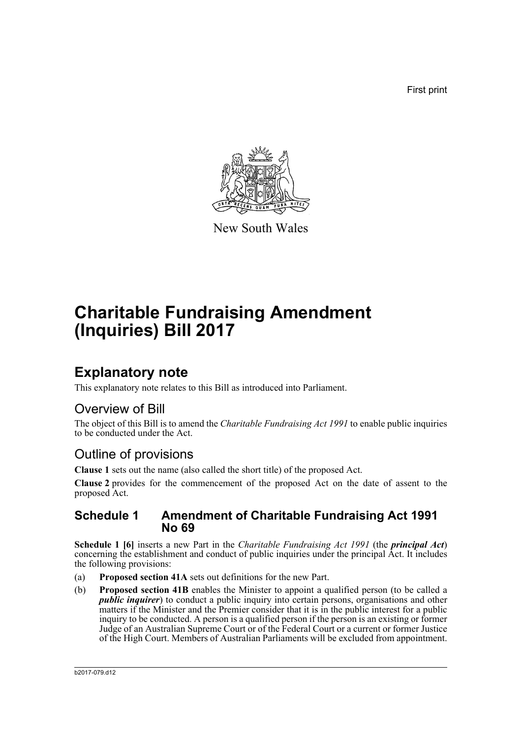First print



New South Wales

# **Charitable Fundraising Amendment (Inquiries) Bill 2017**

## **Explanatory note**

This explanatory note relates to this Bill as introduced into Parliament.

### Overview of Bill

The object of this Bill is to amend the *Charitable Fundraising Act 1991* to enable public inquiries to be conducted under the Act.

### Outline of provisions

**Clause 1** sets out the name (also called the short title) of the proposed Act.

**Clause 2** provides for the commencement of the proposed Act on the date of assent to the proposed Act.

### **Schedule 1 Amendment of Charitable Fundraising Act 1991 No 69**

**Schedule 1 [6]** inserts a new Part in the *Charitable Fundraising Act 1991* (the *principal Act*) concerning the establishment and conduct of public inquiries under the principal Act. It includes the following provisions:

- (a) **Proposed section 41A** sets out definitions for the new Part.
- (b) **Proposed section 41B** enables the Minister to appoint a qualified person (to be called a *public inquirer*) to conduct a public inquiry into certain persons, organisations and other matters if the Minister and the Premier consider that it is in the public interest for a public inquiry to be conducted. A person is a qualified person if the person is an existing or former Judge of an Australian Supreme Court or of the Federal Court or a current or former Justice of the High Court. Members of Australian Parliaments will be excluded from appointment.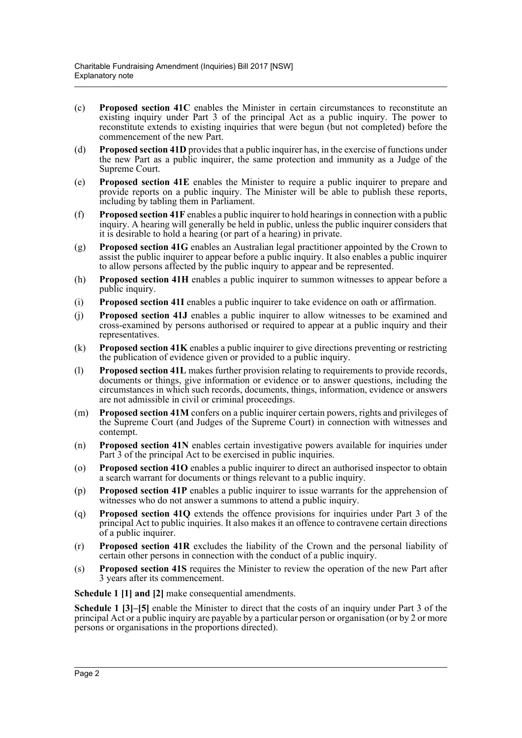- (c) **Proposed section 41C** enables the Minister in certain circumstances to reconstitute an existing inquiry under Part 3 of the principal Act as a public inquiry. The power to reconstitute extends to existing inquiries that were begun (but not completed) before the commencement of the new Part.
- (d) **Proposed section 41D** provides that a public inquirer has, in the exercise of functions under the new Part as a public inquirer, the same protection and immunity as a Judge of the Supreme Court.
- (e) **Proposed section 41E** enables the Minister to require a public inquirer to prepare and provide reports on a public inquiry. The Minister will be able to publish these reports, including by tabling them in Parliament.
- (f) **Proposed section 41F** enables a public inquirer to hold hearings in connection with a public inquiry. A hearing will generally be held in public, unless the public inquirer considers that it is desirable to hold a hearing (or part of a hearing) in private.
- (g) **Proposed section 41G** enables an Australian legal practitioner appointed by the Crown to assist the public inquirer to appear before a public inquiry. It also enables a public inquirer to allow persons affected by the public inquiry to appear and be represented.
- (h) **Proposed section 41H** enables a public inquirer to summon witnesses to appear before a public inquiry.
- (i) **Proposed section 41I** enables a public inquirer to take evidence on oath or affirmation.
- (j) **Proposed section 41J** enables a public inquirer to allow witnesses to be examined and cross-examined by persons authorised or required to appear at a public inquiry and their representatives.
- (k) **Proposed section 41K** enables a public inquirer to give directions preventing or restricting the publication of evidence given or provided to a public inquiry.
- (l) **Proposed section 41L** makes further provision relating to requirements to provide records, documents or things, give information or evidence or to answer questions, including the circumstances in which such records, documents, things, information, evidence or answers are not admissible in civil or criminal proceedings.
- (m) **Proposed section 41M** confers on a public inquirer certain powers, rights and privileges of the Supreme Court (and Judges of the Supreme Court) in connection with witnesses and contempt.
- (n) **Proposed section 41N** enables certain investigative powers available for inquiries under Part 3 of the principal Act to be exercised in public inquiries.
- (o) **Proposed section 41O** enables a public inquirer to direct an authorised inspector to obtain a search warrant for documents or things relevant to a public inquiry.
- (p) **Proposed section 41P** enables a public inquirer to issue warrants for the apprehension of witnesses who do not answer a summons to attend a public inquiry.
- (q) **Proposed section 41Q** extends the offence provisions for inquiries under Part 3 of the principal Act to public inquiries. It also makes it an offence to contravene certain directions of a public inquirer.
- (r) **Proposed section 41R** excludes the liability of the Crown and the personal liability of certain other persons in connection with the conduct of a public inquiry.
- (s) **Proposed section 41S** requires the Minister to review the operation of the new Part after 3 years after its commencement.

**Schedule 1 [1] and [2]** make consequential amendments.

**Schedule 1 [3]–[5]** enable the Minister to direct that the costs of an inquiry under Part 3 of the principal Act or a public inquiry are payable by a particular person or organisation (or by 2 or more persons or organisations in the proportions directed).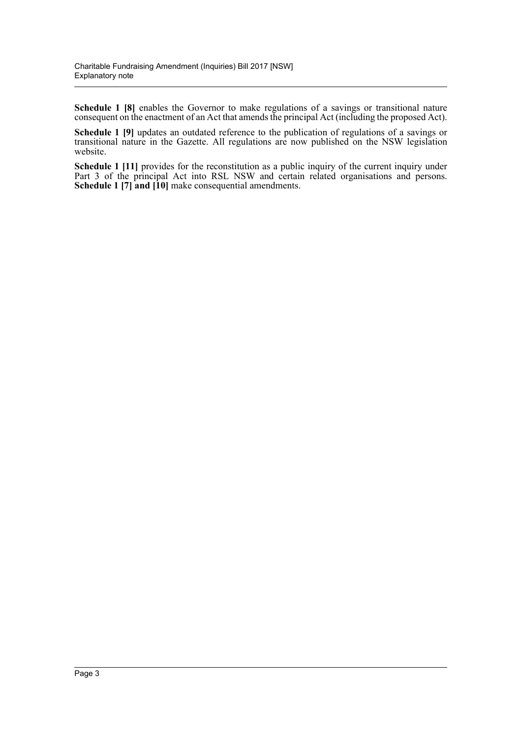**Schedule 1 [8]** enables the Governor to make regulations of a savings or transitional nature consequent on the enactment of an Act that amends the principal Act (including the proposed Act).

**Schedule 1 [9]** updates an outdated reference to the publication of regulations of a savings or transitional nature in the Gazette. All regulations are now published on the NSW legislation website.

**Schedule 1 [11]** provides for the reconstitution as a public inquiry of the current inquiry under Part 3 of the principal Act into RSL NSW and certain related organisations and persons. **Schedule 1 [7] and [10]** make consequential amendments.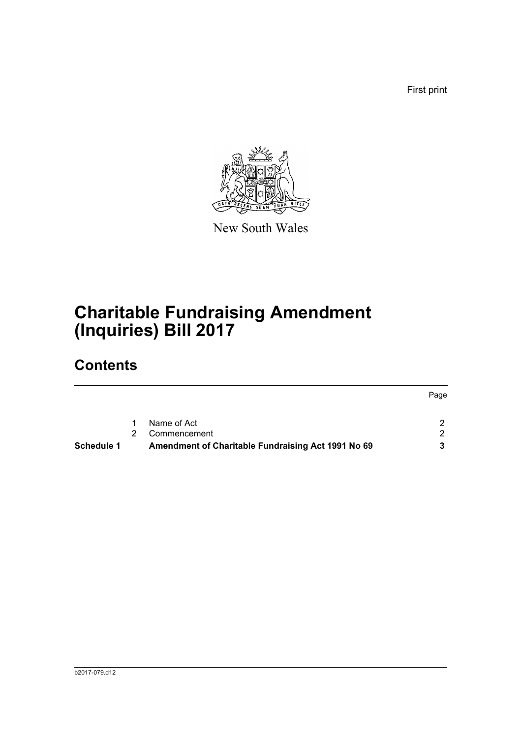First print



New South Wales

# **Charitable Fundraising Amendment (Inquiries) Bill 2017**

# **Contents**

|                   |                                                    | Page |
|-------------------|----------------------------------------------------|------|
|                   | Name of Act                                        |      |
|                   | Commencement                                       |      |
| <b>Schedule 1</b> | Amendment of Charitable Fundraising Act 1991 No 69 |      |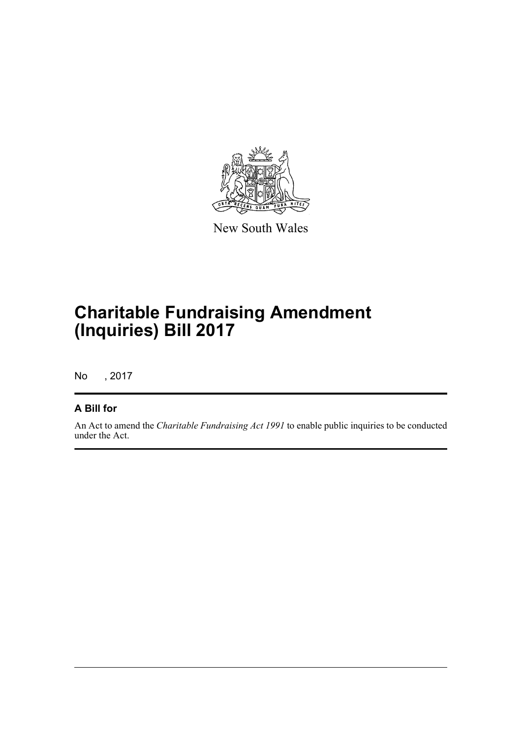

New South Wales

# **Charitable Fundraising Amendment (Inquiries) Bill 2017**

No , 2017

### **A Bill for**

An Act to amend the *Charitable Fundraising Act 1991* to enable public inquiries to be conducted under the Act.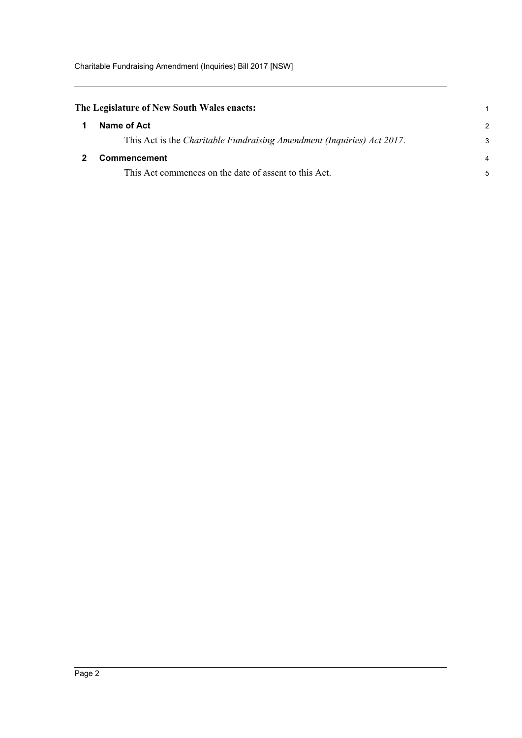<span id="page-5-1"></span><span id="page-5-0"></span>

| The Legislature of New South Wales enacts:                             |               |
|------------------------------------------------------------------------|---------------|
| Name of Act                                                            | $\mathcal{P}$ |
| This Act is the Charitable Fundraising Amendment (Inquiries) Act 2017. | 3             |
| Commencement                                                           |               |
| This Act commences on the date of assent to this Act.                  | 5             |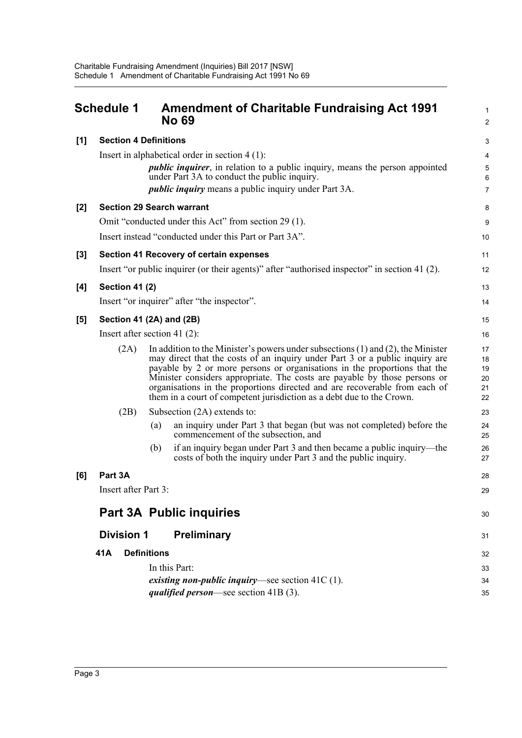<span id="page-6-0"></span>

|       | <b>Schedule 1</b>            | <b>Amendment of Charitable Fundraising Act 1991</b><br><b>No 69</b>                                                                                                                                                                                                                                                                                                                                                                                                                    | 1<br>$\overline{2}$              |
|-------|------------------------------|----------------------------------------------------------------------------------------------------------------------------------------------------------------------------------------------------------------------------------------------------------------------------------------------------------------------------------------------------------------------------------------------------------------------------------------------------------------------------------------|----------------------------------|
| [1]   | <b>Section 4 Definitions</b> |                                                                                                                                                                                                                                                                                                                                                                                                                                                                                        | 3                                |
|       |                              | Insert in alphabetical order in section $4(1)$ :                                                                                                                                                                                                                                                                                                                                                                                                                                       | 4                                |
|       |                              | <i>public inquirer</i> , in relation to a public inquiry, means the person appointed<br>under Part 3A to conduct the public inquiry.                                                                                                                                                                                                                                                                                                                                                   | 5<br>6                           |
|       |                              | <i>public inquiry</i> means a public inquiry under Part 3A.                                                                                                                                                                                                                                                                                                                                                                                                                            | $\overline{7}$                   |
| [2]   |                              | <b>Section 29 Search warrant</b>                                                                                                                                                                                                                                                                                                                                                                                                                                                       | 8                                |
|       |                              | Omit "conducted under this Act" from section 29 (1).                                                                                                                                                                                                                                                                                                                                                                                                                                   | 9                                |
|       |                              | Insert instead "conducted under this Part or Part 3A".                                                                                                                                                                                                                                                                                                                                                                                                                                 | 10                               |
| $[3]$ |                              | <b>Section 41 Recovery of certain expenses</b>                                                                                                                                                                                                                                                                                                                                                                                                                                         | 11                               |
|       |                              | Insert "or public inquirer (or their agents)" after "authorised inspector" in section 41 (2).                                                                                                                                                                                                                                                                                                                                                                                          | 12                               |
| [4]   | Section 41 (2)               |                                                                                                                                                                                                                                                                                                                                                                                                                                                                                        | 13                               |
|       |                              | Insert "or inquirer" after "the inspector".                                                                                                                                                                                                                                                                                                                                                                                                                                            | 14                               |
| [5]   |                              | Section 41 (2A) and (2B)                                                                                                                                                                                                                                                                                                                                                                                                                                                               | 15                               |
|       |                              | Insert after section 41 $(2)$ :                                                                                                                                                                                                                                                                                                                                                                                                                                                        | 16                               |
|       | (2A)                         | In addition to the Minister's powers under subsections $(1)$ and $(2)$ , the Minister<br>may direct that the costs of an inquiry under Part 3 or a public inquiry are<br>payable by 2 or more persons or organisations in the proportions that the<br>Minister considers appropriate. The costs are payable by those persons or<br>organisations in the proportions directed and are recoverable from each of<br>them in a court of competent jurisdiction as a debt due to the Crown. | 17<br>18<br>19<br>20<br>21<br>22 |
|       | (2B)                         | Subsection (2A) extends to:                                                                                                                                                                                                                                                                                                                                                                                                                                                            | 23                               |
|       |                              | an inquiry under Part 3 that began (but was not completed) before the<br>(a)<br>commencement of the subsection, and                                                                                                                                                                                                                                                                                                                                                                    | 24<br>25                         |
|       |                              | if an inquiry began under Part 3 and then became a public inquiry—the<br>(b)<br>costs of both the inquiry under Part 3 and the public inquiry.                                                                                                                                                                                                                                                                                                                                         | 26<br>27                         |
| [6]   | Part 3A                      |                                                                                                                                                                                                                                                                                                                                                                                                                                                                                        | 28                               |
|       | Insert after Part 3:         |                                                                                                                                                                                                                                                                                                                                                                                                                                                                                        | 29                               |
|       |                              | <b>Part 3A Public inquiries</b>                                                                                                                                                                                                                                                                                                                                                                                                                                                        | 30                               |
|       | <b>Division 1</b>            | <b>Preliminary</b>                                                                                                                                                                                                                                                                                                                                                                                                                                                                     | 31                               |
|       | 41A                          | <b>Definitions</b>                                                                                                                                                                                                                                                                                                                                                                                                                                                                     | 32                               |
|       |                              | In this Part:                                                                                                                                                                                                                                                                                                                                                                                                                                                                          | 33                               |
|       |                              | existing non-public inquiry—see section $41C(1)$ .                                                                                                                                                                                                                                                                                                                                                                                                                                     | 34                               |
|       |                              | <i>qualified person—see section</i> $41B(3)$ .                                                                                                                                                                                                                                                                                                                                                                                                                                         | 35                               |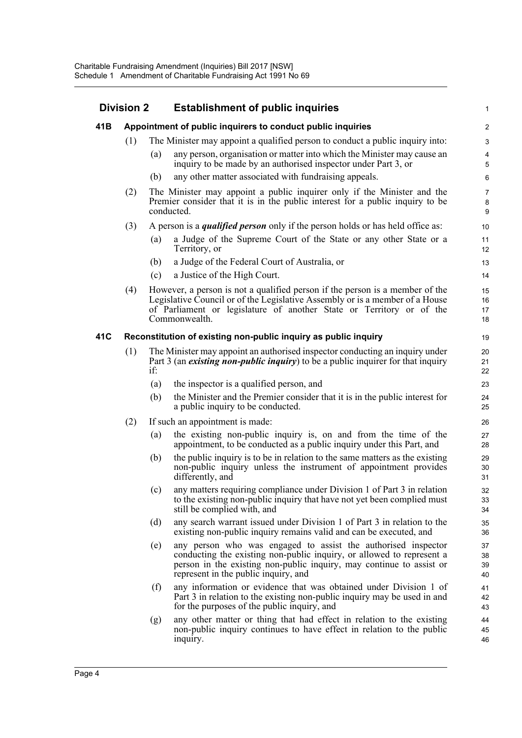#### **Division 2 Establishment of public inquiries 41B Appointment of public inquirers to conduct public inquiries** (1) The Minister may appoint a qualified person to conduct a public inquiry into: (a) any person, organisation or matter into which the Minister may cause an inquiry to be made by an authorised inspector under Part 3, or (b) any other matter associated with fundraising appeals. (2) The Minister may appoint a public inquirer only if the Minister and the Premier consider that it is in the public interest for a public inquiry to be conducted. (3) A person is a *qualified person* only if the person holds or has held office as: (a) a Judge of the Supreme Court of the State or any other State or a Territory, or (b) a Judge of the Federal Court of Australia, or (c) a Justice of the High Court. (4) However, a person is not a qualified person if the person is a member of the Legislative Council or of the Legislative Assembly or is a member of a House of Parliament or legislature of another State or Territory or of the Commonwealth. **41C Reconstitution of existing non-public inquiry as public inquiry** (1) The Minister may appoint an authorised inspector conducting an inquiry under Part 3 (an *existing non-public inquiry*) to be a public inquirer for that inquiry if: (a) the inspector is a qualified person, and (b) the Minister and the Premier consider that it is in the public interest for a public inquiry to be conducted. (2) If such an appointment is made: (a) the existing non-public inquiry is, on and from the time of the appointment, to be conducted as a public inquiry under this Part, and (b) the public inquiry is to be in relation to the same matters as the existing non-public inquiry unless the instrument of appointment provides differently, and (c) any matters requiring compliance under Division 1 of Part 3 in relation to the existing non-public inquiry that have not yet been complied must still be complied with, and (d) any search warrant issued under Division 1 of Part 3 in relation to the existing non-public inquiry remains valid and can be executed, and (e) any person who was engaged to assist the authorised inspector conducting the existing non-public inquiry, or allowed to represent a person in the existing non-public inquiry, may continue to assist or represent in the public inquiry, and (f) any information or evidence that was obtained under Division 1 of Part 3 in relation to the existing non-public inquiry may be used in and for the purposes of the public inquiry, and (g) any other matter or thing that had effect in relation to the existing non-public inquiry continues to have effect in relation to the public inquiry. 1 2 3 4 5 6 7 8  $\overline{Q}$ 10 11 12 13 14 15 16 17 18 19 20 21 22 23 24 25 26 27 28 29 30 31 32 33 34 35 36 37 38 39  $40$ 41 42 43 44 45 46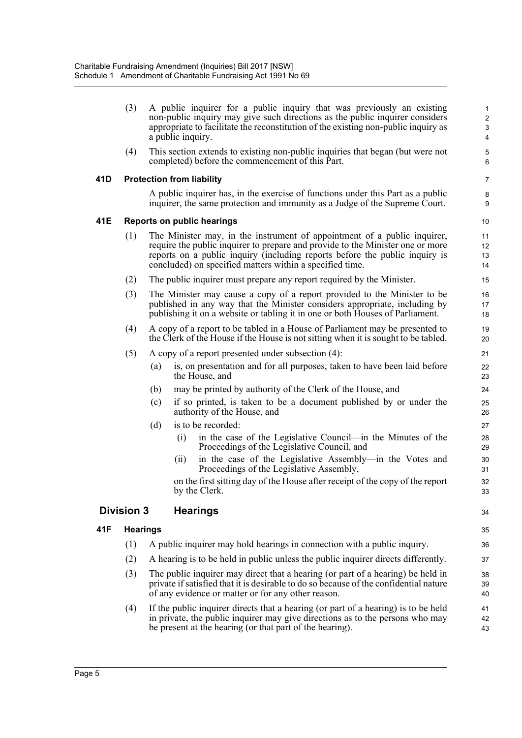|     | (3)               |     | A public inquirer for a public inquiry that was previously an existing<br>non-public inquiry may give such directions as the public inquirer considers<br>appropriate to facilitate the reconstitution of the existing non-public inquiry as<br>a public inquiry.                                     | 1<br>$\overline{\mathbf{c}}$<br>3<br>4 |
|-----|-------------------|-----|-------------------------------------------------------------------------------------------------------------------------------------------------------------------------------------------------------------------------------------------------------------------------------------------------------|----------------------------------------|
|     | (4)               |     | This section extends to existing non-public inquiries that began (but were not<br>completed) before the commencement of this Part.                                                                                                                                                                    | 5<br>6                                 |
| 41D |                   |     | <b>Protection from liability</b>                                                                                                                                                                                                                                                                      | 7                                      |
|     |                   |     | A public inquirer has, in the exercise of functions under this Part as a public<br>inquirer, the same protection and immunity as a Judge of the Supreme Court.                                                                                                                                        | 8<br>9                                 |
| 41E |                   |     | <b>Reports on public hearings</b>                                                                                                                                                                                                                                                                     | 10                                     |
|     | (1)               |     | The Minister may, in the instrument of appointment of a public inquirer,<br>require the public inquirer to prepare and provide to the Minister one or more<br>reports on a public inquiry (including reports before the public inquiry is<br>concluded) on specified matters within a specified time. | 11<br>12<br>13<br>14                   |
|     | (2)               |     | The public inquirer must prepare any report required by the Minister.                                                                                                                                                                                                                                 | 15                                     |
|     | (3)               |     | The Minister may cause a copy of a report provided to the Minister to be<br>published in any way that the Minister considers appropriate, including by<br>publishing it on a website or tabling it in one or both Houses of Parliament.                                                               | 16<br>17<br>18                         |
|     | (4)               |     | A copy of a report to be tabled in a House of Parliament may be presented to<br>the Clerk of the House if the House is not sitting when it is sought to be tabled.                                                                                                                                    | 19<br>20                               |
|     | (5)               |     | A copy of a report presented under subsection (4):                                                                                                                                                                                                                                                    | 21                                     |
|     |                   | (a) | is, on presentation and for all purposes, taken to have been laid before<br>the House, and                                                                                                                                                                                                            | 22<br>23                               |
|     |                   | (b) | may be printed by authority of the Clerk of the House, and                                                                                                                                                                                                                                            | 24                                     |
|     |                   | (c) | if so printed, is taken to be a document published by or under the<br>authority of the House, and                                                                                                                                                                                                     | 25<br>26                               |
|     |                   | (d) | is to be recorded:                                                                                                                                                                                                                                                                                    | 27                                     |
|     |                   |     | in the case of the Legislative Council—in the Minutes of the<br>(i)<br>Proceedings of the Legislative Council, and                                                                                                                                                                                    | 28<br>29                               |
|     |                   |     | in the case of the Legislative Assembly-in the Votes and<br>(11)<br>Proceedings of the Legislative Assembly,                                                                                                                                                                                          | 30<br>31                               |
|     |                   |     | on the first sitting day of the House after receipt of the copy of the report<br>by the Clerk.                                                                                                                                                                                                        | 32<br>33                               |
|     | <b>Division 3</b> |     | <b>Hearings</b>                                                                                                                                                                                                                                                                                       | 34                                     |
| 41F | <b>Hearings</b>   |     |                                                                                                                                                                                                                                                                                                       | 35                                     |
|     | (1)               |     | A public inquirer may hold hearings in connection with a public inquiry.                                                                                                                                                                                                                              | 36                                     |
|     | (2)               |     | A hearing is to be held in public unless the public inquirer directs differently.                                                                                                                                                                                                                     | 37                                     |
|     | (3)               |     | The public inquirer may direct that a hearing (or part of a hearing) be held in<br>private if satisfied that it is desirable to do so because of the confidential nature<br>of any evidence or matter or for any other reason.                                                                        | 38<br>39<br>40                         |
|     | (4)               |     | If the public inquirer directs that a hearing (or part of a hearing) is to be held<br>in private, the public inquirer may give directions as to the persons who may<br>be present at the hearing (or that part of the hearing).                                                                       | 41<br>42<br>43                         |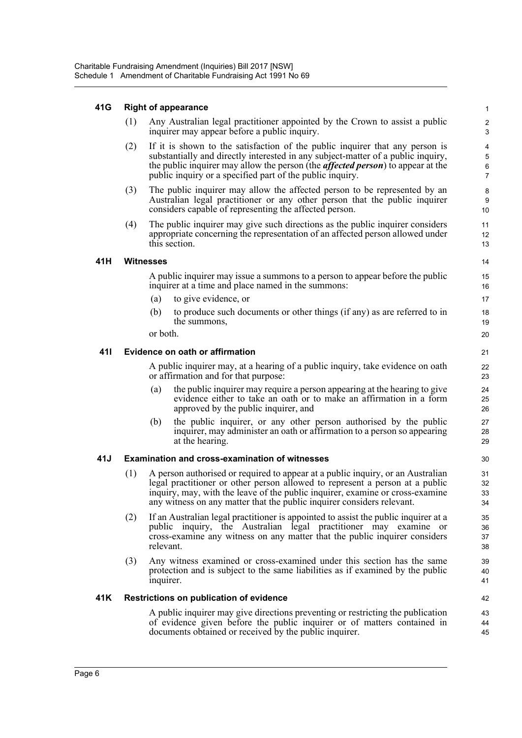#### **41G Right of appearance**

(1) Any Australian legal practitioner appointed by the Crown to assist a public inquirer may appear before a public inquiry.

- (2) If it is shown to the satisfaction of the public inquirer that any person is substantially and directly interested in any subject-matter of a public inquiry, the public inquirer may allow the person (the *affected person*) to appear at the public inquiry or a specified part of the public inquiry.
- (3) The public inquirer may allow the affected person to be represented by an Australian legal practitioner or any other person that the public inquirer considers capable of representing the affected person.
- (4) The public inquirer may give such directions as the public inquirer considers appropriate concerning the representation of an affected person allowed under this section.

#### **41H Witnesses**

A public inquirer may issue a summons to a person to appear before the public inquirer at a time and place named in the summons:

- (a) to give evidence, or
- (b) to produce such documents or other things (if any) as are referred to in the summons,

or both.

#### **41I Evidence on oath or affirmation**

A public inquirer may, at a hearing of a public inquiry, take evidence on oath or affirmation and for that purpose:

- (a) the public inquirer may require a person appearing at the hearing to give evidence either to take an oath or to make an affirmation in a form approved by the public inquirer, and
- (b) the public inquirer, or any other person authorised by the public inquirer, may administer an oath or affirmation to a person so appearing at the hearing.

### **41J Examination and cross-examination of witnesses**

- (1) A person authorised or required to appear at a public inquiry, or an Australian legal practitioner or other person allowed to represent a person at a public inquiry, may, with the leave of the public inquirer, examine or cross-examine any witness on any matter that the public inquirer considers relevant.
- (2) If an Australian legal practitioner is appointed to assist the public inquirer at a public inquiry, the Australian legal practitioner may examine or cross-examine any witness on any matter that the public inquirer considers relevant.
- (3) Any witness examined or cross-examined under this section has the same protection and is subject to the same liabilities as if examined by the public inquirer.

### **41K Restrictions on publication of evidence**

A public inquirer may give directions preventing or restricting the publication of evidence given before the public inquirer or of matters contained in documents obtained or received by the public inquirer.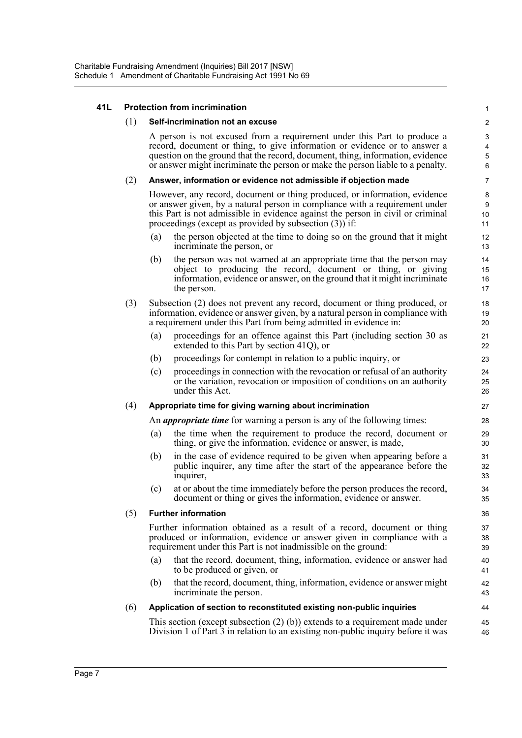#### **41L Protection from incrimination**

#### (1) **Self-incrimination not an excuse**

A person is not excused from a requirement under this Part to produce a record, document or thing, to give information or evidence or to answer a question on the ground that the record, document, thing, information, evidence or answer might incriminate the person or make the person liable to a penalty.

#### (2) **Answer, information or evidence not admissible if objection made**

However, any record, document or thing produced, or information, evidence or answer given, by a natural person in compliance with a requirement under this Part is not admissible in evidence against the person in civil or criminal proceedings (except as provided by subsection (3)) if:

- (a) the person objected at the time to doing so on the ground that it might incriminate the person, or
- (b) the person was not warned at an appropriate time that the person may object to producing the record, document or thing, or giving information, evidence or answer, on the ground that it might incriminate the person.
- (3) Subsection (2) does not prevent any record, document or thing produced, or information, evidence or answer given, by a natural person in compliance with a requirement under this Part from being admitted in evidence in:
	- (a) proceedings for an offence against this Part (including section 30 as extended to this Part by section 41Q), or
	- (b) proceedings for contempt in relation to a public inquiry, or
	- (c) proceedings in connection with the revocation or refusal of an authority or the variation, revocation or imposition of conditions on an authority under this Act.

#### (4) **Appropriate time for giving warning about incrimination**

An *appropriate time* for warning a person is any of the following times:

- (a) the time when the requirement to produce the record, document or thing, or give the information, evidence or answer, is made,
- (b) in the case of evidence required to be given when appearing before a public inquirer, any time after the start of the appearance before the inquirer,
- (c) at or about the time immediately before the person produces the record, document or thing or gives the information, evidence or answer.

#### (5) **Further information**

Further information obtained as a result of a record, document or thing produced or information, evidence or answer given in compliance with a requirement under this Part is not inadmissible on the ground:

- (a) that the record, document, thing, information, evidence or answer had to be produced or given, or
- (b) that the record, document, thing, information, evidence or answer might incriminate the person.

#### (6) **Application of section to reconstituted existing non-public inquiries**

This section (except subsection (2) (b)) extends to a requirement made under Division 1 of Part 3 in relation to an existing non-public inquiry before it was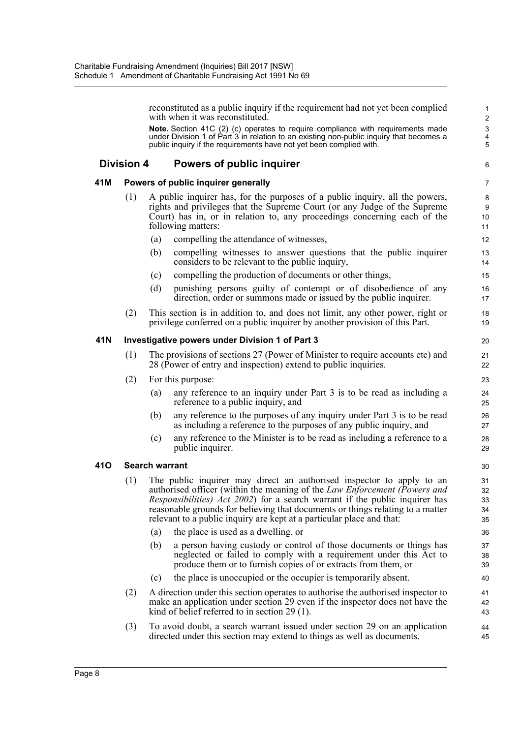reconstituted as a public inquiry if the requirement had not yet been complied with when it was reconstituted.

6

**Note.** Section 41C (2) (c) operates to require compliance with requirements made under Division 1 of Part 3 in relation to an existing non-public inquiry that becomes a public inquiry if the requirements have not yet been complied with.

### **Division 4 Powers of public inquirer**

### **41M Powers of public inquirer generally**

- (1) A public inquirer has, for the purposes of a public inquiry, all the powers, rights and privileges that the Supreme Court (or any Judge of the Supreme Court) has in, or in relation to, any proceedings concerning each of the following matters:
	- (a) compelling the attendance of witnesses,
	- (b) compelling witnesses to answer questions that the public inquirer considers to be relevant to the public inquiry,
	- (c) compelling the production of documents or other things,
	- (d) punishing persons guilty of contempt or of disobedience of any direction, order or summons made or issued by the public inquirer.
- (2) This section is in addition to, and does not limit, any other power, right or privilege conferred on a public inquirer by another provision of this Part.

#### **41N Investigative powers under Division 1 of Part 3**

- (1) The provisions of sections 27 (Power of Minister to require accounts etc) and 28 (Power of entry and inspection) extend to public inquiries.
- (2) For this purpose:
	- (a) any reference to an inquiry under Part 3 is to be read as including a reference to a public inquiry, and
	- (b) any reference to the purposes of any inquiry under Part 3 is to be read as including a reference to the purposes of any public inquiry, and
	- (c) any reference to the Minister is to be read as including a reference to a public inquirer.

### **41O Search warrant**

- (1) The public inquirer may direct an authorised inspector to apply to an authorised officer (within the meaning of the *Law Enforcement (Powers and Responsibilities) Act 2002*) for a search warrant if the public inquirer has reasonable grounds for believing that documents or things relating to a matter relevant to a public inquiry are kept at a particular place and that:
	- (a) the place is used as a dwelling, or
	- (b) a person having custody or control of those documents or things has neglected or failed to comply with a requirement under this Act to produce them or to furnish copies of or extracts from them, or
	- (c) the place is unoccupied or the occupier is temporarily absent.
- (2) A direction under this section operates to authorise the authorised inspector to make an application under section 29 even if the inspector does not have the kind of belief referred to in section 29 (1).
- (3) To avoid doubt, a search warrant issued under section 29 on an application directed under this section may extend to things as well as documents.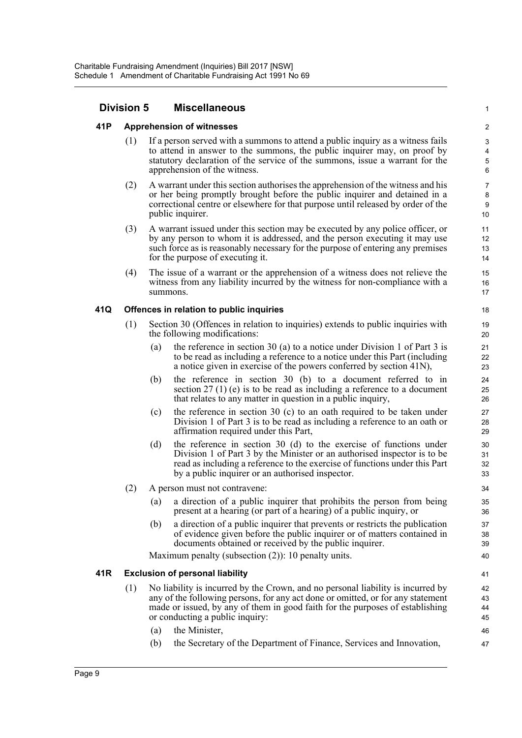### **Division 5 Miscellaneous**

### **41P Apprehension of witnesses**

(1) If a person served with a summons to attend a public inquiry as a witness fails to attend in answer to the summons, the public inquirer may, on proof by statutory declaration of the service of the summons, issue a warrant for the apprehension of the witness.

1

- (2) A warrant under this section authorises the apprehension of the witness and his or her being promptly brought before the public inquirer and detained in a correctional centre or elsewhere for that purpose until released by order of the public inquirer.
- (3) A warrant issued under this section may be executed by any police officer, or by any person to whom it is addressed, and the person executing it may use such force as is reasonably necessary for the purpose of entering any premises for the purpose of executing it.
- (4) The issue of a warrant or the apprehension of a witness does not relieve the witness from any liability incurred by the witness for non-compliance with a summons.

#### **41Q Offences in relation to public inquiries**

- (1) Section 30 (Offences in relation to inquiries) extends to public inquiries with the following modifications:
	- (a) the reference in section 30 (a) to a notice under Division 1 of Part 3 is to be read as including a reference to a notice under this Part (including a notice given in exercise of the powers conferred by section 41N),
	- (b) the reference in section 30 (b) to a document referred to in section 27 (1) (e) is to be read as including a reference to a document that relates to any matter in question in a public inquiry,
	- (c) the reference in section 30 (c) to an oath required to be taken under Division 1 of Part 3 is to be read as including a reference to an oath or affirmation required under this Part,
	- (d) the reference in section 30 (d) to the exercise of functions under Division 1 of Part 3 by the Minister or an authorised inspector is to be read as including a reference to the exercise of functions under this Part by a public inquirer or an authorised inspector.
- (2) A person must not contravene:
	- (a) a direction of a public inquirer that prohibits the person from being present at a hearing (or part of a hearing) of a public inquiry, or
	- (b) a direction of a public inquirer that prevents or restricts the publication of evidence given before the public inquirer or of matters contained in documents obtained or received by the public inquirer.

Maximum penalty (subsection (2)): 10 penalty units.

### **41R Exclusion of personal liability**

- (1) No liability is incurred by the Crown, and no personal liability is incurred by any of the following persons, for any act done or omitted, or for any statement made or issued, by any of them in good faith for the purposes of establishing or conducting a public inquiry:
	- (a) the Minister,
	- (b) the Secretary of the Department of Finance, Services and Innovation,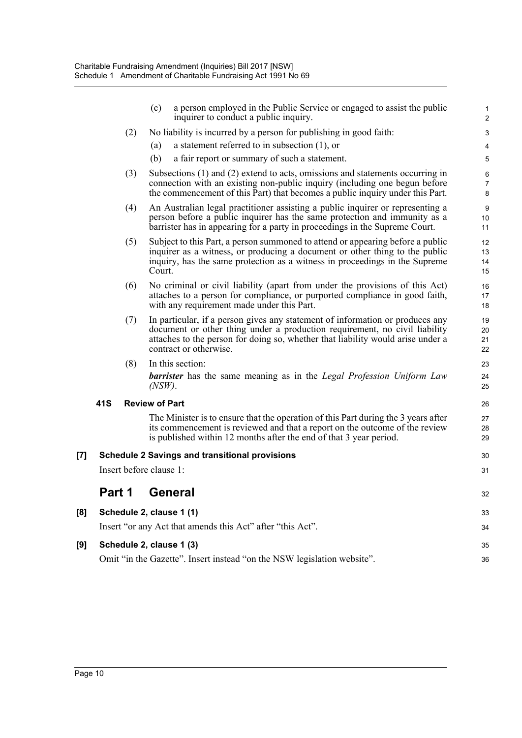|     |                                                             |     | a person employed in the Public Service or engaged to assist the public<br>(c)<br>inquirer to conduct a public inquiry.                                                                                                                                                  | $\mathbf{1}$<br>$\overline{2}$ |  |
|-----|-------------------------------------------------------------|-----|--------------------------------------------------------------------------------------------------------------------------------------------------------------------------------------------------------------------------------------------------------------------------|--------------------------------|--|
|     |                                                             | (2) | No liability is incurred by a person for publishing in good faith:                                                                                                                                                                                                       | 3                              |  |
|     |                                                             |     | a statement referred to in subsection $(1)$ , or<br>(a)                                                                                                                                                                                                                  | 4                              |  |
|     |                                                             |     | (b)<br>a fair report or summary of such a statement.                                                                                                                                                                                                                     | $\overline{5}$                 |  |
|     |                                                             | (3) | Subsections (1) and (2) extend to acts, omissions and statements occurring in<br>connection with an existing non-public inquiry (including one begun before<br>the commencement of this Part) that becomes a public inquiry under this Part.                             | $\,6\,$<br>$\overline{7}$<br>8 |  |
|     |                                                             | (4) | An Australian legal practitioner assisting a public inquirer or representing a<br>person before a public inquirer has the same protection and immunity as a<br>barrister has in appearing for a party in proceedings in the Supreme Court.                               | 9<br>10<br>11                  |  |
|     |                                                             | (5) | Subject to this Part, a person summoned to attend or appearing before a public<br>inquirer as a witness, or producing a document or other thing to the public<br>inquiry, has the same protection as a witness in proceedings in the Supreme<br>Court.                   | 12<br>13<br>14<br>15           |  |
|     |                                                             | (6) | No criminal or civil liability (apart from under the provisions of this Act)<br>attaches to a person for compliance, or purported compliance in good faith,<br>with any requirement made under this Part.                                                                | 16<br>17<br>18                 |  |
|     |                                                             | (7) | In particular, if a person gives any statement of information or produces any<br>document or other thing under a production requirement, no civil liability<br>attaches to the person for doing so, whether that liability would arise under a<br>contract or otherwise. | 19<br>20<br>21<br>22           |  |
|     |                                                             | (8) | In this section:                                                                                                                                                                                                                                                         | 23                             |  |
|     |                                                             |     | <b>barrister</b> has the same meaning as in the Legal Profession Uniform Law<br>$(NSW)$ .                                                                                                                                                                                | 24<br>25                       |  |
|     | 41S                                                         |     | <b>Review of Part</b>                                                                                                                                                                                                                                                    | 26                             |  |
|     |                                                             |     | The Minister is to ensure that the operation of this Part during the 3 years after<br>its commencement is reviewed and that a report on the outcome of the review<br>is published within 12 months after the end of that 3 year period.                                  | 27<br>28<br>29                 |  |
| [7] | <b>Schedule 2 Savings and transitional provisions</b><br>30 |     |                                                                                                                                                                                                                                                                          |                                |  |
|     |                                                             |     | Insert before clause 1:                                                                                                                                                                                                                                                  | 31                             |  |
|     | Part 1                                                      |     | <b>General</b>                                                                                                                                                                                                                                                           | 32                             |  |
| [8] |                                                             |     | Schedule 2, clause 1 (1)                                                                                                                                                                                                                                                 | 33                             |  |
|     |                                                             |     | Insert "or any Act that amends this Act" after "this Act".                                                                                                                                                                                                               | 34                             |  |
| [9] |                                                             |     | Schedule 2, clause 1 (3)                                                                                                                                                                                                                                                 | 35                             |  |
|     |                                                             |     | Omit "in the Gazette". Insert instead "on the NSW legislation website".                                                                                                                                                                                                  | 36                             |  |

[8]

**[9]**